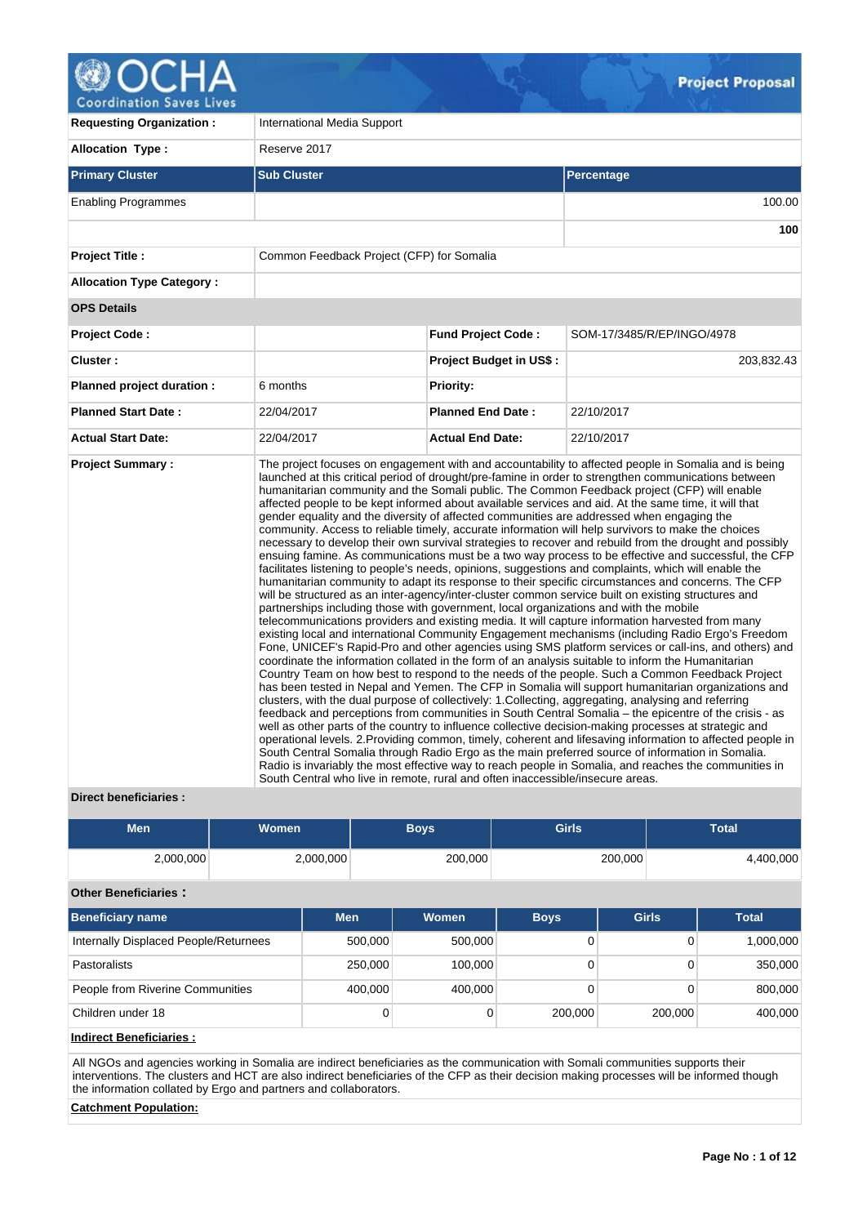

**Coordination Saves Lives** 

| <b>Requesting Organization:</b>  | International Media Support                                                                                                                                                                                                                                          |                                |                                                                                                                                                                                                                                                                                                                                                                                                                                                                                                                                                                                                                                                                                                                                                                                                                                                                                                                                                                                                                                                                                                                                                                                                                                                                                                                                                                                                                                                                                                                                                                                                                                                                                                                                                                                                                                                                                                                                                                                                                                                                                                                                                                                                                                                                                                                                                     |  |  |  |  |  |
|----------------------------------|----------------------------------------------------------------------------------------------------------------------------------------------------------------------------------------------------------------------------------------------------------------------|--------------------------------|-----------------------------------------------------------------------------------------------------------------------------------------------------------------------------------------------------------------------------------------------------------------------------------------------------------------------------------------------------------------------------------------------------------------------------------------------------------------------------------------------------------------------------------------------------------------------------------------------------------------------------------------------------------------------------------------------------------------------------------------------------------------------------------------------------------------------------------------------------------------------------------------------------------------------------------------------------------------------------------------------------------------------------------------------------------------------------------------------------------------------------------------------------------------------------------------------------------------------------------------------------------------------------------------------------------------------------------------------------------------------------------------------------------------------------------------------------------------------------------------------------------------------------------------------------------------------------------------------------------------------------------------------------------------------------------------------------------------------------------------------------------------------------------------------------------------------------------------------------------------------------------------------------------------------------------------------------------------------------------------------------------------------------------------------------------------------------------------------------------------------------------------------------------------------------------------------------------------------------------------------------------------------------------------------------------------------------------------------------|--|--|--|--|--|
| <b>Allocation Type:</b>          | Reserve 2017                                                                                                                                                                                                                                                         |                                |                                                                                                                                                                                                                                                                                                                                                                                                                                                                                                                                                                                                                                                                                                                                                                                                                                                                                                                                                                                                                                                                                                                                                                                                                                                                                                                                                                                                                                                                                                                                                                                                                                                                                                                                                                                                                                                                                                                                                                                                                                                                                                                                                                                                                                                                                                                                                     |  |  |  |  |  |
| <b>Primary Cluster</b>           | <b>Sub Cluster</b>                                                                                                                                                                                                                                                   |                                | Percentage                                                                                                                                                                                                                                                                                                                                                                                                                                                                                                                                                                                                                                                                                                                                                                                                                                                                                                                                                                                                                                                                                                                                                                                                                                                                                                                                                                                                                                                                                                                                                                                                                                                                                                                                                                                                                                                                                                                                                                                                                                                                                                                                                                                                                                                                                                                                          |  |  |  |  |  |
| <b>Enabling Programmes</b>       |                                                                                                                                                                                                                                                                      |                                | 100.00                                                                                                                                                                                                                                                                                                                                                                                                                                                                                                                                                                                                                                                                                                                                                                                                                                                                                                                                                                                                                                                                                                                                                                                                                                                                                                                                                                                                                                                                                                                                                                                                                                                                                                                                                                                                                                                                                                                                                                                                                                                                                                                                                                                                                                                                                                                                              |  |  |  |  |  |
|                                  |                                                                                                                                                                                                                                                                      |                                | 100                                                                                                                                                                                                                                                                                                                                                                                                                                                                                                                                                                                                                                                                                                                                                                                                                                                                                                                                                                                                                                                                                                                                                                                                                                                                                                                                                                                                                                                                                                                                                                                                                                                                                                                                                                                                                                                                                                                                                                                                                                                                                                                                                                                                                                                                                                                                                 |  |  |  |  |  |
| <b>Project Title:</b>            | Common Feedback Project (CFP) for Somalia                                                                                                                                                                                                                            |                                |                                                                                                                                                                                                                                                                                                                                                                                                                                                                                                                                                                                                                                                                                                                                                                                                                                                                                                                                                                                                                                                                                                                                                                                                                                                                                                                                                                                                                                                                                                                                                                                                                                                                                                                                                                                                                                                                                                                                                                                                                                                                                                                                                                                                                                                                                                                                                     |  |  |  |  |  |
| <b>Allocation Type Category:</b> |                                                                                                                                                                                                                                                                      |                                |                                                                                                                                                                                                                                                                                                                                                                                                                                                                                                                                                                                                                                                                                                                                                                                                                                                                                                                                                                                                                                                                                                                                                                                                                                                                                                                                                                                                                                                                                                                                                                                                                                                                                                                                                                                                                                                                                                                                                                                                                                                                                                                                                                                                                                                                                                                                                     |  |  |  |  |  |
| <b>OPS Details</b>               |                                                                                                                                                                                                                                                                      |                                |                                                                                                                                                                                                                                                                                                                                                                                                                                                                                                                                                                                                                                                                                                                                                                                                                                                                                                                                                                                                                                                                                                                                                                                                                                                                                                                                                                                                                                                                                                                                                                                                                                                                                                                                                                                                                                                                                                                                                                                                                                                                                                                                                                                                                                                                                                                                                     |  |  |  |  |  |
| <b>Project Code:</b>             |                                                                                                                                                                                                                                                                      | <b>Fund Project Code:</b>      | SOM-17/3485/R/EP/INGO/4978                                                                                                                                                                                                                                                                                                                                                                                                                                                                                                                                                                                                                                                                                                                                                                                                                                                                                                                                                                                                                                                                                                                                                                                                                                                                                                                                                                                                                                                                                                                                                                                                                                                                                                                                                                                                                                                                                                                                                                                                                                                                                                                                                                                                                                                                                                                          |  |  |  |  |  |
| Cluster:                         |                                                                                                                                                                                                                                                                      | <b>Project Budget in US\$:</b> | 203,832.43                                                                                                                                                                                                                                                                                                                                                                                                                                                                                                                                                                                                                                                                                                                                                                                                                                                                                                                                                                                                                                                                                                                                                                                                                                                                                                                                                                                                                                                                                                                                                                                                                                                                                                                                                                                                                                                                                                                                                                                                                                                                                                                                                                                                                                                                                                                                          |  |  |  |  |  |
| Planned project duration :       | 6 months                                                                                                                                                                                                                                                             | <b>Priority:</b>               |                                                                                                                                                                                                                                                                                                                                                                                                                                                                                                                                                                                                                                                                                                                                                                                                                                                                                                                                                                                                                                                                                                                                                                                                                                                                                                                                                                                                                                                                                                                                                                                                                                                                                                                                                                                                                                                                                                                                                                                                                                                                                                                                                                                                                                                                                                                                                     |  |  |  |  |  |
| <b>Planned Start Date:</b>       | 22/04/2017                                                                                                                                                                                                                                                           | <b>Planned End Date:</b>       | 22/10/2017                                                                                                                                                                                                                                                                                                                                                                                                                                                                                                                                                                                                                                                                                                                                                                                                                                                                                                                                                                                                                                                                                                                                                                                                                                                                                                                                                                                                                                                                                                                                                                                                                                                                                                                                                                                                                                                                                                                                                                                                                                                                                                                                                                                                                                                                                                                                          |  |  |  |  |  |
| <b>Actual Start Date:</b>        | 22/04/2017                                                                                                                                                                                                                                                           | <b>Actual End Date:</b>        | 22/10/2017                                                                                                                                                                                                                                                                                                                                                                                                                                                                                                                                                                                                                                                                                                                                                                                                                                                                                                                                                                                                                                                                                                                                                                                                                                                                                                                                                                                                                                                                                                                                                                                                                                                                                                                                                                                                                                                                                                                                                                                                                                                                                                                                                                                                                                                                                                                                          |  |  |  |  |  |
| <b>Project Summary:</b>          | gender equality and the diversity of affected communities are addressed when engaging the<br>partnerships including those with government, local organizations and with the mobile<br>South Central who live in remote, rural and often inaccessible/insecure areas. |                                | The project focuses on engagement with and accountability to affected people in Somalia and is being<br>launched at this critical period of drought/pre-famine in order to strengthen communications between<br>humanitarian community and the Somali public. The Common Feedback project (CFP) will enable<br>affected people to be kept informed about available services and aid. At the same time, it will that<br>community. Access to reliable timely, accurate information will help survivors to make the choices<br>necessary to develop their own survival strategies to recover and rebuild from the drought and possibly<br>ensuing famine. As communications must be a two way process to be effective and successful, the CFP<br>facilitates listening to people's needs, opinions, suggestions and complaints, which will enable the<br>humanitarian community to adapt its response to their specific circumstances and concerns. The CFP<br>will be structured as an inter-agency/inter-cluster common service built on existing structures and<br>telecommunications providers and existing media. It will capture information harvested from many<br>existing local and international Community Engagement mechanisms (including Radio Ergo's Freedom<br>Fone, UNICEF's Rapid-Pro and other agencies using SMS platform services or call-ins, and others) and<br>coordinate the information collated in the form of an analysis suitable to inform the Humanitarian<br>Country Team on how best to respond to the needs of the people. Such a Common Feedback Project<br>has been tested in Nepal and Yemen. The CFP in Somalia will support humanitarian organizations and<br>clusters, with the dual purpose of collectively: 1. Collecting, aggregating, analysing and referring<br>feedback and perceptions from communities in South Central Somalia – the epicentre of the crisis - as<br>well as other parts of the country to influence collective decision-making processes at strategic and<br>operational levels. 2. Providing common, timely, coherent and lifesaving information to affected people in<br>South Central Somalia through Radio Ergo as the main preferred source of information in Somalia.<br>Radio is invariably the most effective way to reach people in Somalia, and reaches the communities in |  |  |  |  |  |

# **Direct beneficiaries :**

| <b>Men</b>                            |  |            | <b>Boys</b> | <b>Girls</b>        |             |              | <b>Total</b> |              |  |  |
|---------------------------------------|--|------------|-------------|---------------------|-------------|--------------|--------------|--------------|--|--|
| 2,000,000                             |  | 2,000,000  |             | 200,000             | 200,000     |              |              | 4,400,000    |  |  |
| <b>Other Beneficiaries:</b>           |  |            |             |                     |             |              |              |              |  |  |
| <b>Beneficiary name</b>               |  | <b>Men</b> |             | Women               | <b>Boys</b> | <b>Girls</b> |              | <b>Total</b> |  |  |
| Internally Displaced People/Returnees |  |            | 500,000     | 500,000             | 0           |              | 0            | 1,000,000    |  |  |
| Pastoralists                          |  | 250,000    |             | 100.000<br>$\Omega$ |             |              | $\Omega$     | 350,000      |  |  |
| People from Riverine Communities      |  | 400,000    |             | 400,000             | 0           |              | 0            | 800,000      |  |  |
| Children under 18                     |  |            | 0           | 0                   | 200,000     |              | 200,000      | 400,000      |  |  |

# **Indirect Beneficiaries :**

All NGOs and agencies working in Somalia are indirect beneficiaries as the communication with Somali communities supports their interventions. The clusters and HCT are also indirect beneficiaries of the CFP as their decision making processes will be informed though the information collated by Ergo and partners and collaborators.

# **Catchment Population:**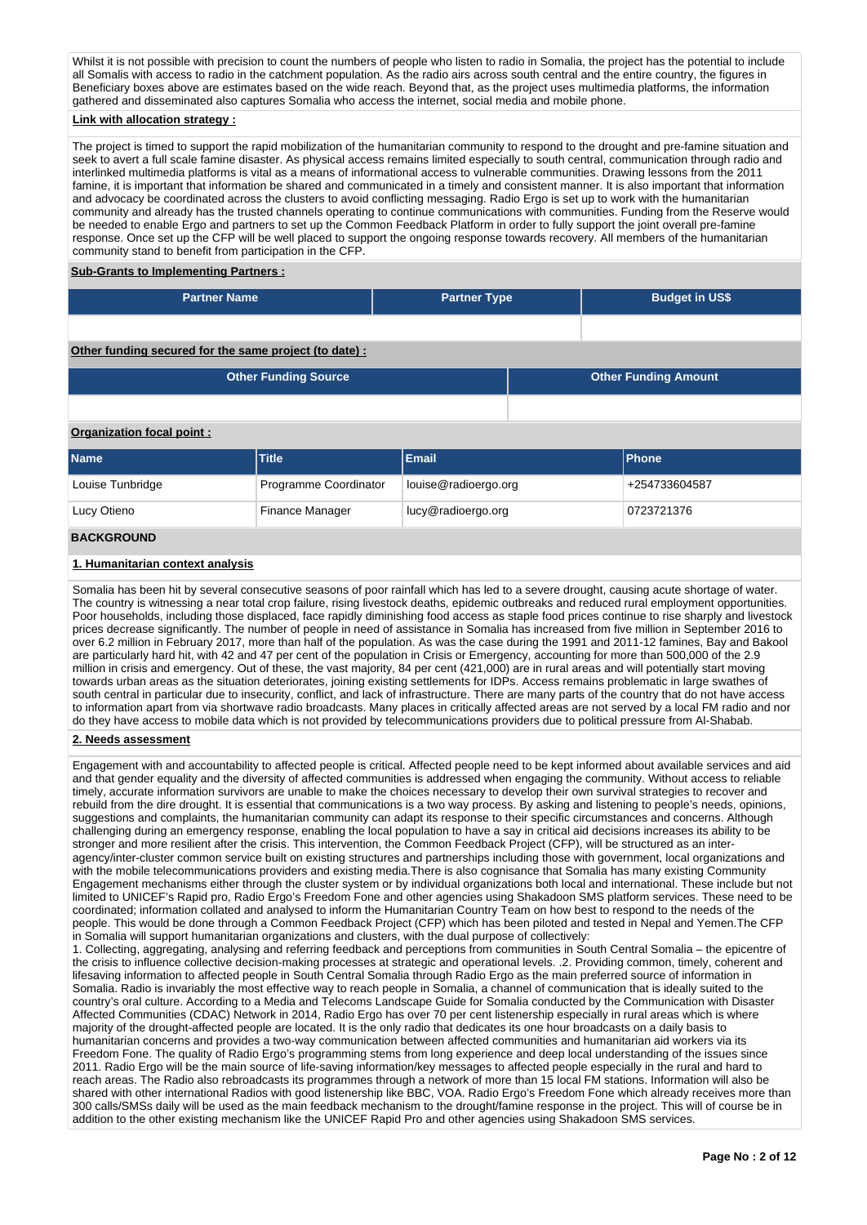Whilst it is not possible with precision to count the numbers of people who listen to radio in Somalia, the project has the potential to include all Somalis with access to radio in the catchment population. As the radio airs across south central and the entire country, the figures in Beneficiary boxes above are estimates based on the wide reach. Beyond that, as the project uses multimedia platforms, the information gathered and disseminated also captures Somalia who access the internet, social media and mobile phone.

# **Link with allocation strategy :**

The project is timed to support the rapid mobilization of the humanitarian community to respond to the drought and pre-famine situation and seek to avert a full scale famine disaster. As physical access remains limited especially to south central, communication through radio and interlinked multimedia platforms is vital as a means of informational access to vulnerable communities. Drawing lessons from the 2011 famine, it is important that information be shared and communicated in a timely and consistent manner. It is also important that information and advocacy be coordinated across the clusters to avoid conflicting messaging. Radio Ergo is set up to work with the humanitarian community and already has the trusted channels operating to continue communications with communities. Funding from the Reserve would be needed to enable Ergo and partners to set up the Common Feedback Platform in order to fully support the joint overall pre-famine response. Once set up the CFP will be well placed to support the ongoing response towards recovery. All members of the humanitarian community stand to benefit from participation in the CFP.

### **Sub-Grants to Implementing Partners :**

| LPartner Name! | <b>Partner Type</b> | <b>Budget in US\$</b> |
|----------------|---------------------|-----------------------|
|                |                     |                       |

### **Other funding secured for the same project (to date) :**

| <b>Other Funding Source</b> | <b>Other Funding Amount</b> |
|-----------------------------|-----------------------------|
|                             |                             |

### **Organization focal point :**

| <b>Name</b>       | <b>Title</b>          | Email                | <b>IPhone</b> |
|-------------------|-----------------------|----------------------|---------------|
| Louise Tunbridge  | Programme Coordinator | louise@radioergo.org | +254733604587 |
| Lucy Otieno       | Finance Manager       | lucy@radioergo.org   | 0723721376    |
| <b>BACKGROUND</b> |                       |                      |               |

### **1. Humanitarian context analysis**

Somalia has been hit by several consecutive seasons of poor rainfall which has led to a severe drought, causing acute shortage of water. The country is witnessing a near total crop failure, rising livestock deaths, epidemic outbreaks and reduced rural employment opportunities. Poor households, including those displaced, face rapidly diminishing food access as staple food prices continue to rise sharply and livestock prices decrease significantly. The number of people in need of assistance in Somalia has increased from five million in September 2016 to over 6.2 million in February 2017, more than half of the population. As was the case during the 1991 and 2011-12 famines, Bay and Bakool are particularly hard hit, with 42 and 47 per cent of the population in Crisis or Emergency, accounting for more than 500,000 of the 2.9 million in crisis and emergency. Out of these, the vast majority, 84 per cent (421,000) are in rural areas and will potentially start moving towards urban areas as the situation deteriorates, joining existing settlements for IDPs. Access remains problematic in large swathes of south central in particular due to insecurity, conflict, and lack of infrastructure. There are many parts of the country that do not have access to information apart from via shortwave radio broadcasts. Many places in critically affected areas are not served by a local FM radio and nor do they have access to mobile data which is not provided by telecommunications providers due to political pressure from Al-Shabab.

#### **2. Needs assessment**

Engagement with and accountability to affected people is critical. Affected people need to be kept informed about available services and aid and that gender equality and the diversity of affected communities is addressed when engaging the community. Without access to reliable timely, accurate information survivors are unable to make the choices necessary to develop their own survival strategies to recover and rebuild from the dire drought. It is essential that communications is a two way process. By asking and listening to people's needs, opinions, suggestions and complaints, the humanitarian community can adapt its response to their specific circumstances and concerns. Although challenging during an emergency response, enabling the local population to have a say in critical aid decisions increases its ability to be stronger and more resilient after the crisis. This intervention, the Common Feedback Project (CFP), will be structured as an interagency/inter-cluster common service built on existing structures and partnerships including those with government, local organizations and with the mobile telecommunications providers and existing media.There is also cognisance that Somalia has many existing Community Engagement mechanisms either through the cluster system or by individual organizations both local and international. These include but not limited to UNICEF's Rapid pro, Radio Ergo's Freedom Fone and other agencies using Shakadoon SMS platform services. These need to be coordinated; information collated and analysed to inform the Humanitarian Country Team on how best to respond to the needs of the people. This would be done through a Common Feedback Project (CFP) which has been piloted and tested in Nepal and Yemen.The CFP in Somalia will support humanitarian organizations and clusters, with the dual purpose of collectively:

1. Collecting, aggregating, analysing and referring feedback and perceptions from communities in South Central Somalia – the epicentre of the crisis to influence collective decision-making processes at strategic and operational levels. .2. Providing common, timely, coherent and lifesaving information to affected people in South Central Somalia through Radio Ergo as the main preferred source of information in Somalia. Radio is invariably the most effective way to reach people in Somalia, a channel of communication that is ideally suited to the country's oral culture. According to a Media and Telecoms Landscape Guide for Somalia conducted by the Communication with Disaster Affected Communities (CDAC) Network in 2014, Radio Ergo has over 70 per cent listenership especially in rural areas which is where majority of the drought-affected people are located. It is the only radio that dedicates its one hour broadcasts on a daily basis to humanitarian concerns and provides a two-way communication between affected communities and humanitarian aid workers via its Freedom Fone. The quality of Radio Ergo's programming stems from long experience and deep local understanding of the issues since 2011. Radio Ergo will be the main source of life-saving information/key messages to affected people especially in the rural and hard to reach areas. The Radio also rebroadcasts its programmes through a network of more than 15 local FM stations. Information will also be shared with other international Radios with good listenership like BBC, VOA. Radio Ergo's Freedom Fone which already receives more than 300 calls/SMSs daily will be used as the main feedback mechanism to the drought/famine response in the project. This will of course be in addition to the other existing mechanism like the UNICEF Rapid Pro and other agencies using Shakadoon SMS services.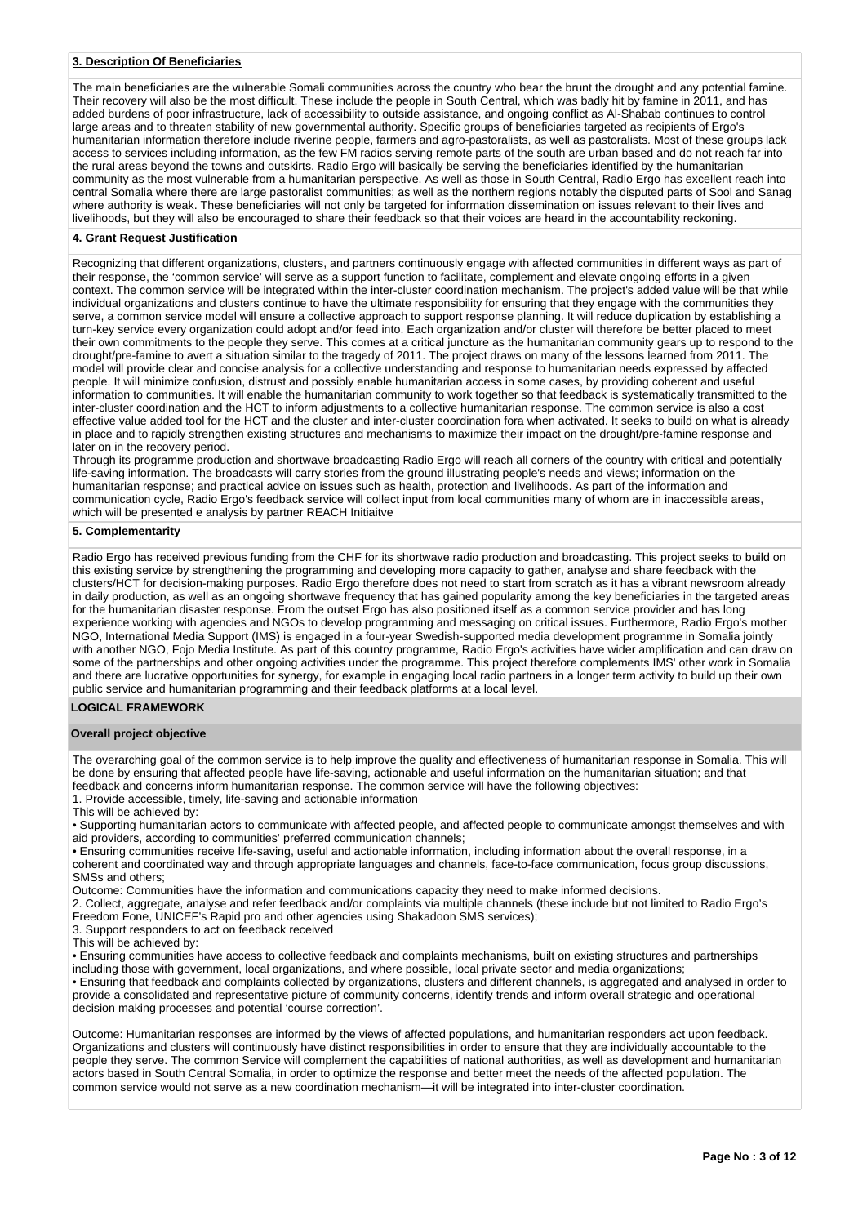### **3. Description Of Beneficiaries**

The main beneficiaries are the vulnerable Somali communities across the country who bear the brunt the drought and any potential famine. Their recovery will also be the most difficult. These include the people in South Central, which was badly hit by famine in 2011, and has added burdens of poor infrastructure, lack of accessibility to outside assistance, and ongoing conflict as Al-Shabab continues to control large areas and to threaten stability of new governmental authority. Specific groups of beneficiaries targeted as recipients of Ergo's humanitarian information therefore include riverine people, farmers and agro-pastoralists, as well as pastoralists. Most of these groups lack access to services including information, as the few FM radios serving remote parts of the south are urban based and do not reach far into the rural areas beyond the towns and outskirts. Radio Ergo will basically be serving the beneficiaries identified by the humanitarian community as the most vulnerable from a humanitarian perspective. As well as those in South Central, Radio Ergo has excellent reach into central Somalia where there are large pastoralist communities; as well as the northern regions notably the disputed parts of Sool and Sanag where authority is weak. These beneficiaries will not only be targeted for information dissemination on issues relevant to their lives and livelihoods, but they will also be encouraged to share their feedback so that their voices are heard in the accountability reckoning.

# **4. Grant Request Justification**

Recognizing that different organizations, clusters, and partners continuously engage with affected communities in different ways as part of their response, the 'common service' will serve as a support function to facilitate, complement and elevate ongoing efforts in a given context. The common service will be integrated within the inter-cluster coordination mechanism. The project's added value will be that while individual organizations and clusters continue to have the ultimate responsibility for ensuring that they engage with the communities they serve, a common service model will ensure a collective approach to support response planning. It will reduce duplication by establishing a turn-key service every organization could adopt and/or feed into. Each organization and/or cluster will therefore be better placed to meet their own commitments to the people they serve. This comes at a critical juncture as the humanitarian community gears up to respond to the drought/pre-famine to avert a situation similar to the tragedy of 2011. The project draws on many of the lessons learned from 2011. The model will provide clear and concise analysis for a collective understanding and response to humanitarian needs expressed by affected people. It will minimize confusion, distrust and possibly enable humanitarian access in some cases, by providing coherent and useful information to communities. It will enable the humanitarian community to work together so that feedback is systematically transmitted to the inter-cluster coordination and the HCT to inform adjustments to a collective humanitarian response. The common service is also a cost effective value added tool for the HCT and the cluster and inter-cluster coordination fora when activated. It seeks to build on what is already in place and to rapidly strengthen existing structures and mechanisms to maximize their impact on the drought/pre-famine response and later on in the recovery period.

Through its programme production and shortwave broadcasting Radio Ergo will reach all corners of the country with critical and potentially life-saving information. The broadcasts will carry stories from the ground illustrating people's needs and views; information on the humanitarian response; and practical advice on issues such as health, protection and livelihoods. As part of the information and communication cycle, Radio Ergo's feedback service will collect input from local communities many of whom are in inaccessible areas, which will be presented e analysis by partner REACH Initiaitve

## **5. Complementarity**

Radio Ergo has received previous funding from the CHF for its shortwave radio production and broadcasting. This project seeks to build on this existing service by strengthening the programming and developing more capacity to gather, analyse and share feedback with the clusters/HCT for decision-making purposes. Radio Ergo therefore does not need to start from scratch as it has a vibrant newsroom already in daily production, as well as an ongoing shortwave frequency that has gained popularity among the key beneficiaries in the targeted areas for the humanitarian disaster response. From the outset Ergo has also positioned itself as a common service provider and has long experience working with agencies and NGOs to develop programming and messaging on critical issues. Furthermore, Radio Ergo's mother NGO, International Media Support (IMS) is engaged in a four-year Swedish-supported media development programme in Somalia jointly with another NGO, Fojo Media Institute. As part of this country programme, Radio Ergo's activities have wider amplification and can draw on some of the partnerships and other ongoing activities under the programme. This project therefore complements IMS' other work in Somalia and there are lucrative opportunities for synergy, for example in engaging local radio partners in a longer term activity to build up their own public service and humanitarian programming and their feedback platforms at a local level.

### **LOGICAL FRAMEWORK**

#### **Overall project objective**

The overarching goal of the common service is to help improve the quality and effectiveness of humanitarian response in Somalia. This will be done by ensuring that affected people have life-saving, actionable and useful information on the humanitarian situation; and that feedback and concerns inform humanitarian response. The common service will have the following objectives:

1. Provide accessible, timely, life-saving and actionable information

This will be achieved by:

• Supporting humanitarian actors to communicate with affected people, and affected people to communicate amongst themselves and with aid providers, according to communities' preferred communication channels;

• Ensuring communities receive life-saving, useful and actionable information, including information about the overall response, in a coherent and coordinated way and through appropriate languages and channels, face-to-face communication, focus group discussions, SMSs and others;

Outcome: Communities have the information and communications capacity they need to make informed decisions.

2. Collect, aggregate, analyse and refer feedback and/or complaints via multiple channels (these include but not limited to Radio Ergo's Freedom Fone, UNICEF's Rapid pro and other agencies using Shakadoon SMS services);

3. Support responders to act on feedback received

This will be achieved by:

• Ensuring communities have access to collective feedback and complaints mechanisms, built on existing structures and partnerships including those with government, local organizations, and where possible, local private sector and media organizations;

• Ensuring that feedback and complaints collected by organizations, clusters and different channels, is aggregated and analysed in order to provide a consolidated and representative picture of community concerns, identify trends and inform overall strategic and operational decision making processes and potential 'course correction'.

Outcome: Humanitarian responses are informed by the views of affected populations, and humanitarian responders act upon feedback. Organizations and clusters will continuously have distinct responsibilities in order to ensure that they are individually accountable to the people they serve. The common Service will complement the capabilities of national authorities, as well as development and humanitarian actors based in South Central Somalia, in order to optimize the response and better meet the needs of the affected population. The common service would not serve as a new coordination mechanism—it will be integrated into inter-cluster coordination.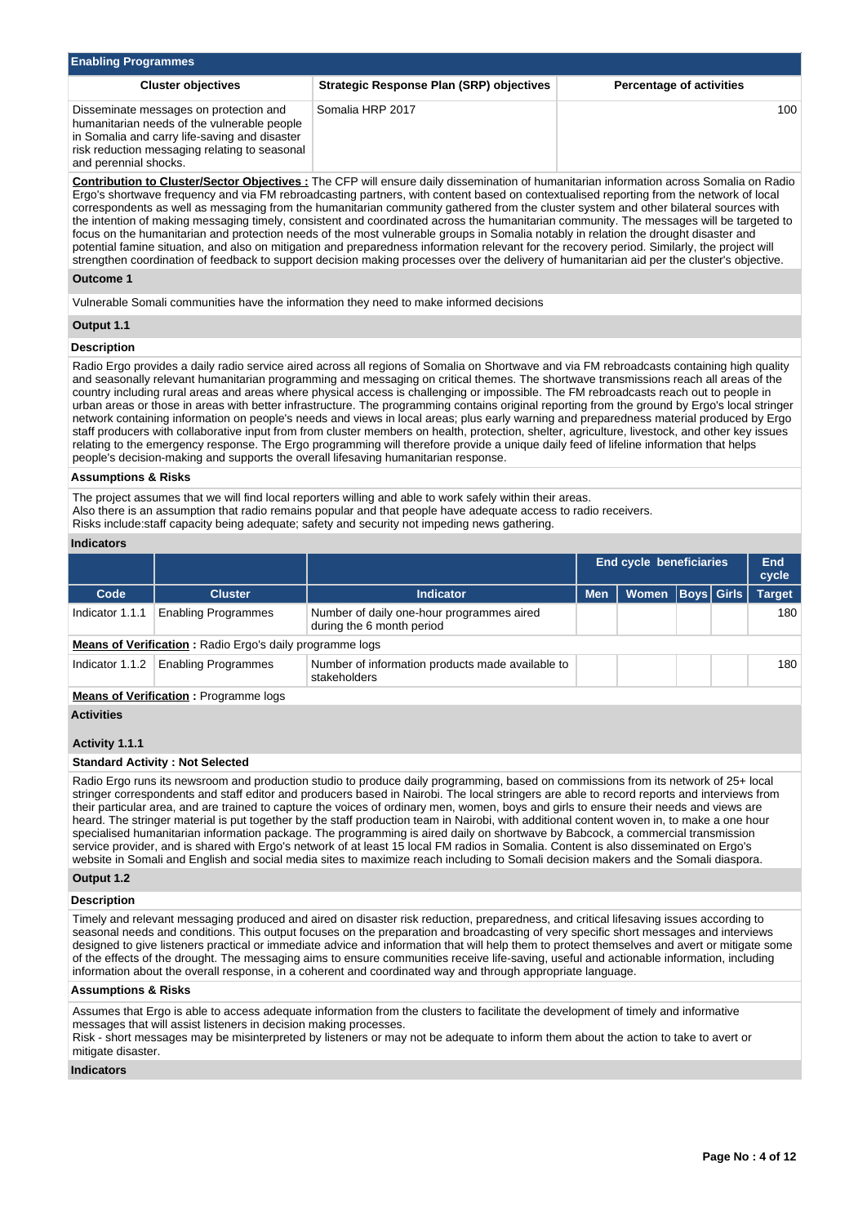| <b>Enabling Programmes</b>                                                                                                                                                                                       |                                          |                                 |  |  |  |  |  |  |
|------------------------------------------------------------------------------------------------------------------------------------------------------------------------------------------------------------------|------------------------------------------|---------------------------------|--|--|--|--|--|--|
| <b>Cluster objectives</b>                                                                                                                                                                                        | Strategic Response Plan (SRP) objectives | <b>Percentage of activities</b> |  |  |  |  |  |  |
| Disseminate messages on protection and<br>humanitarian needs of the vulnerable people<br>in Somalia and carry life-saving and disaster<br>risk reduction messaging relating to seasonal<br>and perennial shocks. | Somalia HRP 2017                         | 100                             |  |  |  |  |  |  |

**Contribution to Cluster/Sector Objectives :** The CFP will ensure daily dissemination of humanitarian information across Somalia on Radio Ergo's shortwave frequency and via FM rebroadcasting partners, with content based on contextualised reporting from the network of local correspondents as well as messaging from the humanitarian community gathered from the cluster system and other bilateral sources with the intention of making messaging timely, consistent and coordinated across the humanitarian community. The messages will be targeted to focus on the humanitarian and protection needs of the most vulnerable groups in Somalia notably in relation the drought disaster and potential famine situation, and also on mitigation and preparedness information relevant for the recovery period. Similarly, the project will strengthen coordination of feedback to support decision making processes over the delivery of humanitarian aid per the cluster's objective.

# **Outcome 1**

Vulnerable Somali communities have the information they need to make informed decisions

### **Output 1.1**

# **Description**

Radio Ergo provides a daily radio service aired across all regions of Somalia on Shortwave and via FM rebroadcasts containing high quality and seasonally relevant humanitarian programming and messaging on critical themes. The shortwave transmissions reach all areas of the country including rural areas and areas where physical access is challenging or impossible. The FM rebroadcasts reach out to people in urban areas or those in areas with better infrastructure. The programming contains original reporting from the ground by Ergo's local stringer network containing information on people's needs and views in local areas; plus early warning and preparedness material produced by Ergo staff producers with collaborative input from from cluster members on health, protection, shelter, agriculture, livestock, and other key issues relating to the emergency response. The Ergo programming will therefore provide a unique daily feed of lifeline information that helps people's decision-making and supports the overall lifesaving humanitarian response.

#### **Assumptions & Risks**

The project assumes that we will find local reporters willing and able to work safely within their areas. Also there is an assumption that radio remains popular and that people have adequate access to radio receivers. Risks include:staff capacity being adequate; safety and security not impeding news gathering.

#### **Indicators**

|                   |                                                          |                                                                        | <b>End cycle beneficiaries</b> | End<br>cycle |                   |  |               |  |  |  |
|-------------------|----------------------------------------------------------|------------------------------------------------------------------------|--------------------------------|--------------|-------------------|--|---------------|--|--|--|
| Code              | <b>Cluster</b>                                           | <b>Indicator</b>                                                       | <b>Men</b>                     | <b>Women</b> | <b>Boys</b> Girls |  | <b>Target</b> |  |  |  |
| Indicator 1.1.1   | <b>Enabling Programmes</b>                               | Number of daily one-hour programmes aired<br>during the 6 month period |                                |              |                   |  | 180           |  |  |  |
|                   | Means of Verification: Radio Ergo's daily programme logs |                                                                        |                                |              |                   |  |               |  |  |  |
| Indicator 1.1.2   | <b>Enabling Programmes</b>                               | Number of information products made available to<br>stakeholders       |                                |              |                   |  | 180           |  |  |  |
|                   | <b>Means of Verification:</b> Programme logs             |                                                                        |                                |              |                   |  |               |  |  |  |
| <b>Activities</b> |                                                          |                                                                        |                                |              |                   |  |               |  |  |  |
| Activity 1.1.1    |                                                          |                                                                        |                                |              |                   |  |               |  |  |  |
|                   | <b>Standard Activity: Not Selected</b>                   |                                                                        |                                |              |                   |  |               |  |  |  |

Radio Ergo runs its newsroom and production studio to produce daily programming, based on commissions from its network of 25+ local stringer correspondents and staff editor and producers based in Nairobi. The local stringers are able to record reports and interviews from their particular area, and are trained to capture the voices of ordinary men, women, boys and girls to ensure their needs and views are heard. The stringer material is put together by the staff production team in Nairobi, with additional content woven in, to make a one hour specialised humanitarian information package. The programming is aired daily on shortwave by Babcock, a commercial transmission service provider, and is shared with Ergo's network of at least 15 local FM radios in Somalia. Content is also disseminated on Ergo's website in Somali and English and social media sites to maximize reach including to Somali decision makers and the Somali diaspora.

### **Output 1.2**

# **Description**

Timely and relevant messaging produced and aired on disaster risk reduction, preparedness, and critical lifesaving issues according to seasonal needs and conditions. This output focuses on the preparation and broadcasting of very specific short messages and interviews designed to give listeners practical or immediate advice and information that will help them to protect themselves and avert or mitigate some of the effects of the drought. The messaging aims to ensure communities receive life-saving, useful and actionable information, including information about the overall response, in a coherent and coordinated way and through appropriate language.

### **Assumptions & Risks**

Assumes that Ergo is able to access adequate information from the clusters to facilitate the development of timely and informative messages that will assist listeners in decision making processes.

Risk - short messages may be misinterpreted by listeners or may not be adequate to inform them about the action to take to avert or mitigate disaster.

### **Indicators**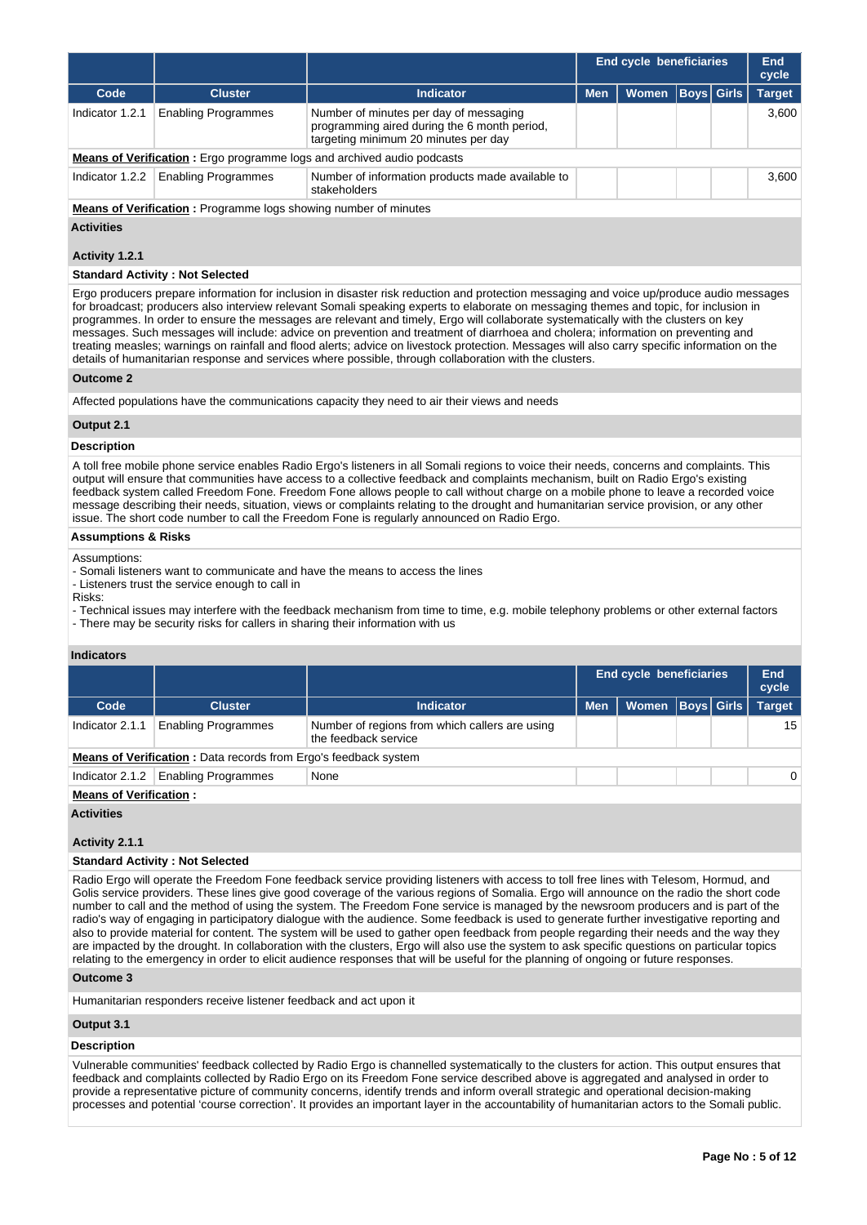|                 |                                                                                                                  |                                                                                                                                |            | <b>End cycle beneficiaries</b> |  |                   |               |  |
|-----------------|------------------------------------------------------------------------------------------------------------------|--------------------------------------------------------------------------------------------------------------------------------|------------|--------------------------------|--|-------------------|---------------|--|
| Code            | <b>Cluster</b>                                                                                                   | <b>Indicator</b>                                                                                                               | <b>Men</b> | Women                          |  | <b>Boys</b> Girls | <b>Target</b> |  |
| Indicator 1.2.1 | <b>Enabling Programmes</b>                                                                                       | Number of minutes per day of messaging<br>programming aired during the 6 month period,<br>targeting minimum 20 minutes per day |            |                                |  |                   | 3.600         |  |
|                 |                                                                                                                  | <b>Means of Verification:</b> Ergo programme logs and archived audio podcasts                                                  |            |                                |  |                   |               |  |
| Indicator 1.2.2 | <b>Enabling Programmes</b>                                                                                       | Number of information products made available to<br>stakeholders                                                               |            |                                |  | 3.600             |               |  |
|                 | $\mathbf{r}$ , and the state of the state $\mathbf{r}$ , and the state $\mathbf{r}$ , and the state $\mathbf{r}$ |                                                                                                                                |            |                                |  |                   |               |  |

**Means of Verification :** Programme logs showing number of minutes

### **Activities**

# **Activity 1.2.1**

### **Standard Activity : Not Selected**

Ergo producers prepare information for inclusion in disaster risk reduction and protection messaging and voice up/produce audio messages for broadcast; producers also interview relevant Somali speaking experts to elaborate on messaging themes and topic, for inclusion in programmes. In order to ensure the messages are relevant and timely, Ergo will collaborate systematically with the clusters on key messages. Such messages will include: advice on prevention and treatment of diarrhoea and cholera; information on preventing and treating measles; warnings on rainfall and flood alerts; advice on livestock protection. Messages will also carry specific information on the details of humanitarian response and services where possible, through collaboration with the clusters.

### **Outcome 2**

Affected populations have the communications capacity they need to air their views and needs

### **Output 2.1**

### **Description**

A toll free mobile phone service enables Radio Ergo's listeners in all Somali regions to voice their needs, concerns and complaints. This output will ensure that communities have access to a collective feedback and complaints mechanism, built on Radio Ergo's existing feedback system called Freedom Fone. Freedom Fone allows people to call without charge on a mobile phone to leave a recorded voice message describing their needs, situation, views or complaints relating to the drought and humanitarian service provision, or any other issue. The short code number to call the Freedom Fone is regularly announced on Radio Ergo.

### **Assumptions & Risks**

Assumptions:

- Somali listeners want to communicate and have the means to access the lines
- Listeners trust the service enough to call in

Risks:

- Technical issues may interfere with the feedback mechanism from time to time, e.g. mobile telephony problems or other external factors

- There may be security risks for callers in sharing their information with us

### **Indicators**

|                 |                                                                        |                                                                        |            | <b>End cycle beneficiaries</b> |  |   |               |  |  |
|-----------------|------------------------------------------------------------------------|------------------------------------------------------------------------|------------|--------------------------------|--|---|---------------|--|--|
| Code            | <b>Cluster</b>                                                         | <b>Indicator</b>                                                       | <b>Men</b> | Women   Boys   Girls           |  |   | <b>Target</b> |  |  |
| Indicator 2.1.1 | <b>Enabling Programmes</b>                                             | Number of regions from which callers are using<br>the feedback service |            |                                |  |   | 15            |  |  |
|                 | <b>Means of Verification:</b> Data records from Ergo's feedback system |                                                                        |            |                                |  |   |               |  |  |
| Indicator 2.1.2 | <b>Enabling Programmes</b>                                             | None                                                                   |            |                                |  | 0 |               |  |  |

#### **Means of Verification :**

**Activities**

**Activity 2.1.1** 

# **Standard Activity : Not Selected**

Radio Ergo will operate the Freedom Fone feedback service providing listeners with access to toll free lines with Telesom, Hormud, and Golis service providers. These lines give good coverage of the various regions of Somalia. Ergo will announce on the radio the short code number to call and the method of using the system. The Freedom Fone service is managed by the newsroom producers and is part of the radio's way of engaging in participatory dialogue with the audience. Some feedback is used to generate further investigative reporting and also to provide material for content. The system will be used to gather open feedback from people regarding their needs and the way they are impacted by the drought. In collaboration with the clusters, Ergo will also use the system to ask specific questions on particular topics relating to the emergency in order to elicit audience responses that will be useful for the planning of ongoing or future responses.

# **Outcome 3**

Humanitarian responders receive listener feedback and act upon it

# **Output 3.1**

# **Description**

Vulnerable communities' feedback collected by Radio Ergo is channelled systematically to the clusters for action. This output ensures that feedback and complaints collected by Radio Ergo on its Freedom Fone service described above is aggregated and analysed in order to provide a representative picture of community concerns, identify trends and inform overall strategic and operational decision-making processes and potential 'course correction'. It provides an important layer in the accountability of humanitarian actors to the Somali public.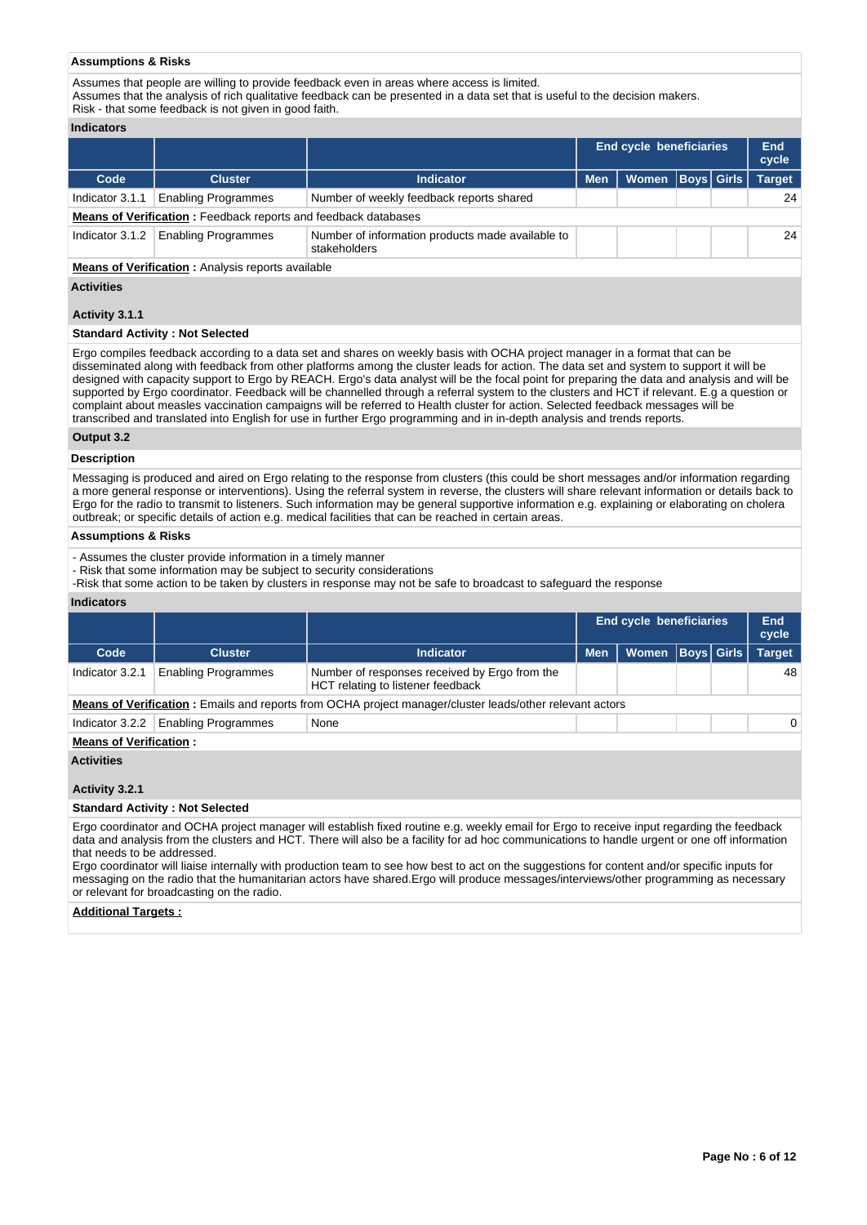### **Assumptions & Risks**

Assumes that people are willing to provide feedback even in areas where access is limited.

Assumes that the analysis of rich qualitative feedback can be presented in a data set that is useful to the decision makers.

# Risk - that some feedback is not given in good faith.

# **Indicators**

|                   |                                                                       |                                                                  |            | End cycle beneficiaries |  |  |               |  |  |  |  |
|-------------------|-----------------------------------------------------------------------|------------------------------------------------------------------|------------|-------------------------|--|--|---------------|--|--|--|--|
| Code              | <b>Cluster</b>                                                        | <b>Indicator</b>                                                 | <b>Men</b> | Women   Boys   Girls    |  |  | <b>Target</b> |  |  |  |  |
| Indicator 3.1.1   | <b>Enabling Programmes</b>                                            | Number of weekly feedback reports shared                         |            |                         |  |  | 24            |  |  |  |  |
|                   | <b>Means of Verification:</b> Feedback reports and feedback databases |                                                                  |            |                         |  |  |               |  |  |  |  |
| Indicator $3.1.2$ | <b>Enabling Programmes</b>                                            | Number of information products made available to<br>stakeholders |            |                         |  |  | 24            |  |  |  |  |
|                   |                                                                       | Moans of Vorification : Apolysis reports available               |            |                         |  |  |               |  |  |  |  |

**Means of Verification :** Analysis reports available

## **Activities**

### **Activity 3.1.1**

### **Standard Activity : Not Selected**

Ergo compiles feedback according to a data set and shares on weekly basis with OCHA project manager in a format that can be disseminated along with feedback from other platforms among the cluster leads for action. The data set and system to support it will be designed with capacity support to Ergo by REACH. Ergo's data analyst will be the focal point for preparing the data and analysis and will be supported by Ergo coordinator. Feedback will be channelled through a referral system to the clusters and HCT if relevant. E.g a question or complaint about measles vaccination campaigns will be referred to Health cluster for action. Selected feedback messages will be transcribed and translated into English for use in further Ergo programming and in in-depth analysis and trends reports.

### **Output 3.2**

# **Description**

Messaging is produced and aired on Ergo relating to the response from clusters (this could be short messages and/or information regarding a more general response or interventions). Using the referral system in reverse, the clusters will share relevant information or details back to Ergo for the radio to transmit to listeners. Such information may be general supportive information e.g. explaining or elaborating on cholera outbreak; or specific details of action e.g. medical facilities that can be reached in certain areas.

# **Assumptions & Risks**

- Assumes the cluster provide information in a timely manner

- Risk that some information may be subject to security considerations

-Risk that some action to be taken by clusters in response may not be safe to broadcast to safeguard the response

### **Indicators**

|                               |                            |                                                                                                                 |            | <b>End cycle beneficiaries</b> |  |  |               |  |
|-------------------------------|----------------------------|-----------------------------------------------------------------------------------------------------------------|------------|--------------------------------|--|--|---------------|--|
| Code                          | <b>Cluster</b>             | <b>Indicator</b>                                                                                                | <b>Men</b> | Women   Boys   Girls           |  |  | <b>Target</b> |  |
| Indicator 3.2.1               | <b>Enabling Programmes</b> | Number of responses received by Ergo from the<br>HCT relating to listener feedback                              |            |                                |  |  | 48            |  |
|                               |                            | <b>Means of Verification</b> : Emails and reports from OCHA project manager/cluster leads/other relevant actors |            |                                |  |  |               |  |
| Indicator 3.2.2               | <b>Enabling Programmes</b> | None                                                                                                            |            |                                |  |  | $\Omega$      |  |
| <b>Means of Verification:</b> |                            |                                                                                                                 |            |                                |  |  |               |  |

# **Activities**

# **Activity 3.2.1**

# **Standard Activity : Not Selected**

Ergo coordinator and OCHA project manager will establish fixed routine e.g. weekly email for Ergo to receive input regarding the feedback data and analysis from the clusters and HCT. There will also be a facility for ad hoc communications to handle urgent or one off information that needs to be addressed.

Ergo coordinator will liaise internally with production team to see how best to act on the suggestions for content and/or specific inputs for messaging on the radio that the humanitarian actors have shared.Ergo will produce messages/interviews/other programming as necessary or relevant for broadcasting on the radio.

#### **Additional Targets :**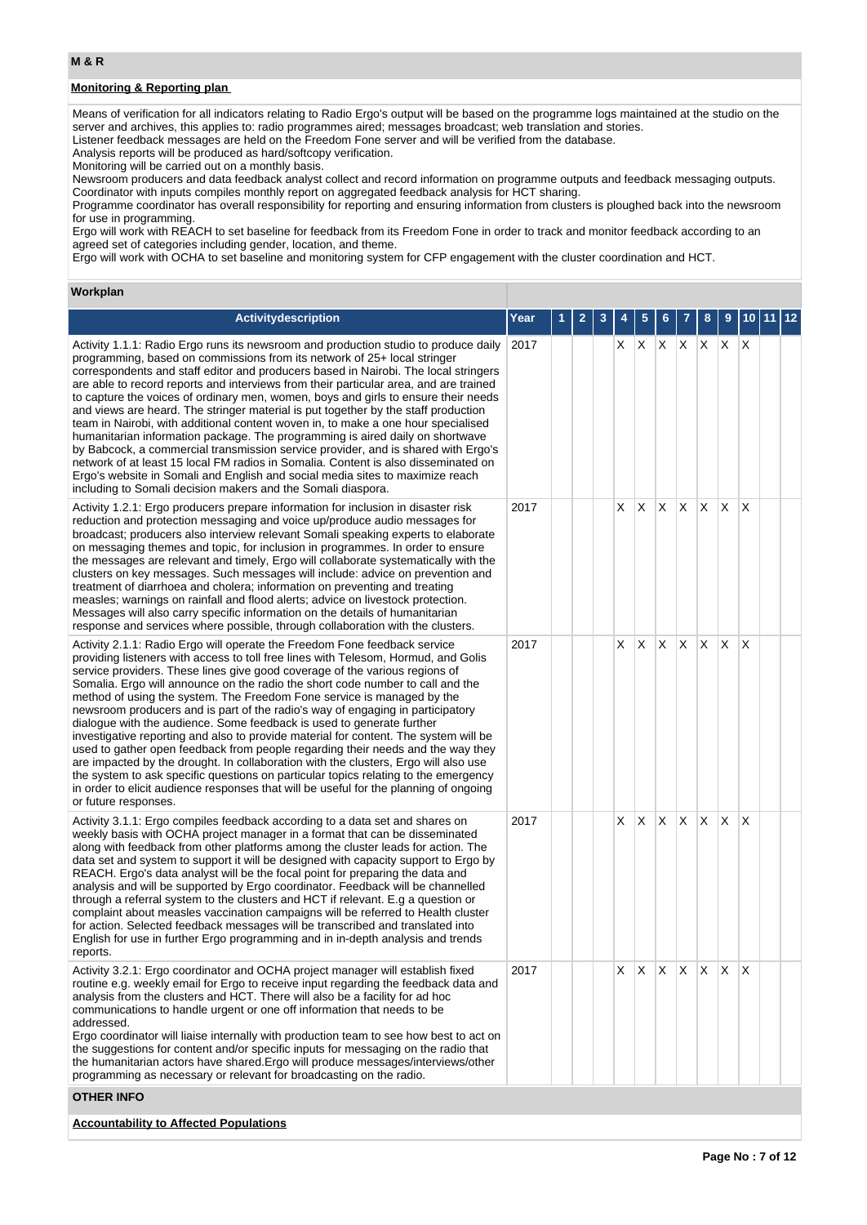# **Monitoring & Reporting plan**

Means of verification for all indicators relating to Radio Ergo's output will be based on the programme logs maintained at the studio on the server and archives, this applies to: radio programmes aired; messages broadcast; web translation and stories. Listener feedback messages are held on the Freedom Fone server and will be verified from the database.

Analysis reports will be produced as hard/softcopy verification.

Monitoring will be carried out on a monthly basis.

Newsroom producers and data feedback analyst collect and record information on programme outputs and feedback messaging outputs. Coordinator with inputs compiles monthly report on aggregated feedback analysis for HCT sharing.

Programme coordinator has overall responsibility for reporting and ensuring information from clusters is ploughed back into the newsroom for use in programming.

Ergo will work with REACH to set baseline for feedback from its Freedom Fone in order to track and monitor feedback according to an agreed set of categories including gender, location, and theme.

Ergo will work with OCHA to set baseline and monitoring system for CFP engagement with the cluster coordination and HCT.

## **Workplan**

| Activitydescription                                                                                                                                                                                                                                                                                                                                                                                                                                                                                                                                                                                                                                                                                                                                                                                                                                                                                                                                                                                                                             | Year | 1 | 2 | 3 |     | 5            | 6  |                 | 8            | 9            |          | 10 11 12 |  |
|-------------------------------------------------------------------------------------------------------------------------------------------------------------------------------------------------------------------------------------------------------------------------------------------------------------------------------------------------------------------------------------------------------------------------------------------------------------------------------------------------------------------------------------------------------------------------------------------------------------------------------------------------------------------------------------------------------------------------------------------------------------------------------------------------------------------------------------------------------------------------------------------------------------------------------------------------------------------------------------------------------------------------------------------------|------|---|---|---|-----|--------------|----|-----------------|--------------|--------------|----------|----------|--|
| Activity 1.1.1: Radio Ergo runs its newsroom and production studio to produce daily<br>programming, based on commissions from its network of 25+ local stringer<br>correspondents and staff editor and producers based in Nairobi. The local stringers<br>are able to record reports and interviews from their particular area, and are trained<br>to capture the voices of ordinary men, women, boys and girls to ensure their needs<br>and views are heard. The stringer material is put together by the staff production<br>team in Nairobi, with additional content woven in, to make a one hour specialised<br>humanitarian information package. The programming is aired daily on shortwave<br>by Babcock, a commercial transmission service provider, and is shared with Ergo's<br>network of at least 15 local FM radios in Somalia. Content is also disseminated on<br>Ergo's website in Somali and English and social media sites to maximize reach<br>including to Somali decision makers and the Somali diaspora.                   | 2017 |   |   |   | X X |              |    | $X$ $X$ $X$ $X$ |              |              | ΙX       |          |  |
| Activity 1.2.1: Ergo producers prepare information for inclusion in disaster risk<br>reduction and protection messaging and voice up/produce audio messages for<br>broadcast; producers also interview relevant Somali speaking experts to elaborate<br>on messaging themes and topic, for inclusion in programmes. In order to ensure<br>the messages are relevant and timely, Ergo will collaborate systematically with the<br>clusters on key messages. Such messages will include: advice on prevention and<br>treatment of diarrhoea and cholera; information on preventing and treating<br>measles; warnings on rainfall and flood alerts; advice on livestock protection.<br>Messages will also carry specific information on the details of humanitarian<br>response and services where possible, through collaboration with the clusters.                                                                                                                                                                                              | 2017 |   |   |   | X.  | X            | X  | X.              | X.           | $\mathsf{X}$ | X        |          |  |
| Activity 2.1.1: Radio Ergo will operate the Freedom Fone feedback service<br>providing listeners with access to toll free lines with Telesom, Hormud, and Golis<br>service providers. These lines give good coverage of the various regions of<br>Somalia. Ergo will announce on the radio the short code number to call and the<br>method of using the system. The Freedom Fone service is managed by the<br>newsroom producers and is part of the radio's way of engaging in participatory<br>dialogue with the audience. Some feedback is used to generate further<br>investigative reporting and also to provide material for content. The system will be<br>used to gather open feedback from people regarding their needs and the way they<br>are impacted by the drought. In collaboration with the clusters, Ergo will also use<br>the system to ask specific questions on particular topics relating to the emergency<br>in order to elicit audience responses that will be useful for the planning of ongoing<br>or future responses. | 2017 |   |   |   | X.  | $\mathsf{X}$ | X  | X.              | X.           | $\mathsf{X}$ | X        |          |  |
| Activity 3.1.1: Ergo compiles feedback according to a data set and shares on<br>weekly basis with OCHA project manager in a format that can be disseminated<br>along with feedback from other platforms among the cluster leads for action. The<br>data set and system to support it will be designed with capacity support to Ergo by<br>REACH. Ergo's data analyst will be the focal point for preparing the data and<br>analysis and will be supported by Ergo coordinator. Feedback will be channelled<br>through a referral system to the clusters and HCT if relevant. E.g a question or<br>complaint about measles vaccination campaigns will be referred to Health cluster<br>for action. Selected feedback messages will be transcribed and translated into<br>English for use in further Ergo programming and in in-depth analysis and trends<br>reports.                                                                                                                                                                             | 2017 |   |   |   | X.  | X.           | X. | $\mathsf{X}$    | $\mathsf{X}$ | X.           | $\times$ |          |  |
| Activity 3.2.1: Ergo coordinator and OCHA project manager will establish fixed<br>routine e.g. weekly email for Ergo to receive input regarding the feedback data and<br>analysis from the clusters and HCT. There will also be a facility for ad hoc<br>communications to handle urgent or one off information that needs to be<br>addressed.<br>Ergo coordinator will liaise internally with production team to see how best to act on<br>the suggestions for content and/or specific inputs for messaging on the radio that<br>the humanitarian actors have shared. Ergo will produce messages/interviews/other<br>programming as necessary or relevant for broadcasting on the radio.                                                                                                                                                                                                                                                                                                                                                       | 2017 |   |   |   | X.  | X            | X. | $\mathsf{X}$    | IX.          | $\mathsf{X}$ | ΙX       |          |  |
| <b>OTHER INFO</b>                                                                                                                                                                                                                                                                                                                                                                                                                                                                                                                                                                                                                                                                                                                                                                                                                                                                                                                                                                                                                               |      |   |   |   |     |              |    |                 |              |              |          |          |  |
| <b>Accountability to Affected Populations</b>                                                                                                                                                                                                                                                                                                                                                                                                                                                                                                                                                                                                                                                                                                                                                                                                                                                                                                                                                                                                   |      |   |   |   |     |              |    |                 |              |              |          |          |  |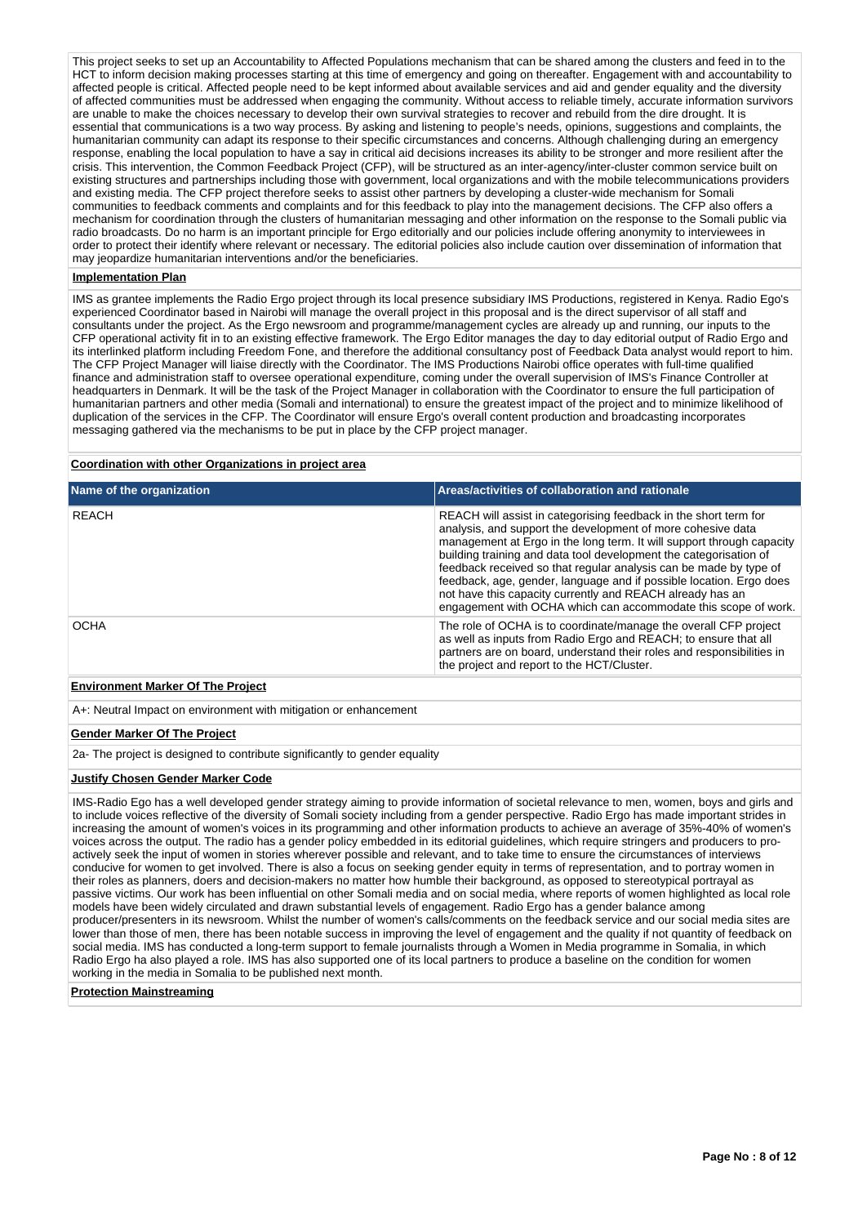This project seeks to set up an Accountability to Affected Populations mechanism that can be shared among the clusters and feed in to the HCT to inform decision making processes starting at this time of emergency and going on thereafter. Engagement with and accountability to affected people is critical. Affected people need to be kept informed about available services and aid and gender equality and the diversity of affected communities must be addressed when engaging the community. Without access to reliable timely, accurate information survivors are unable to make the choices necessary to develop their own survival strategies to recover and rebuild from the dire drought. It is essential that communications is a two way process. By asking and listening to people's needs, opinions, suggestions and complaints, the humanitarian community can adapt its response to their specific circumstances and concerns. Although challenging during an emergency response, enabling the local population to have a say in critical aid decisions increases its ability to be stronger and more resilient after the crisis. This intervention, the Common Feedback Project (CFP), will be structured as an inter-agency/inter-cluster common service built on existing structures and partnerships including those with government, local organizations and with the mobile telecommunications providers and existing media. The CFP project therefore seeks to assist other partners by developing a cluster-wide mechanism for Somali communities to feedback comments and complaints and for this feedback to play into the management decisions. The CFP also offers a mechanism for coordination through the clusters of humanitarian messaging and other information on the response to the Somali public via radio broadcasts. Do no harm is an important principle for Ergo editorially and our policies include offering anonymity to interviewees in order to protect their identify where relevant or necessary. The editorial policies also include caution over dissemination of information that may jeopardize humanitarian interventions and/or the beneficiaries.

### **Implementation Plan**

IMS as grantee implements the Radio Ergo project through its local presence subsidiary IMS Productions, registered in Kenya. Radio Ego's experienced Coordinator based in Nairobi will manage the overall project in this proposal and is the direct supervisor of all staff and consultants under the project. As the Ergo newsroom and programme/management cycles are already up and running, our inputs to the CFP operational activity fit in to an existing effective framework. The Ergo Editor manages the day to day editorial output of Radio Ergo and its interlinked platform including Freedom Fone, and therefore the additional consultancy post of Feedback Data analyst would report to him. The CFP Project Manager will liaise directly with the Coordinator. The IMS Productions Nairobi office operates with full-time qualified finance and administration staff to oversee operational expenditure, coming under the overall supervision of IMS's Finance Controller at headquarters in Denmark. It will be the task of the Project Manager in collaboration with the Coordinator to ensure the full participation of humanitarian partners and other media (Somali and international) to ensure the greatest impact of the project and to minimize likelihood of duplication of the services in the CFP. The Coordinator will ensure Ergo's overall content production and broadcasting incorporates messaging gathered via the mechanisms to be put in place by the CFP project manager.

### **Coordination with other Organizations in project area**

| Name of the organization | Areas/activities of collaboration and rationale                                                                                                                                                                                                                                                                                                                                                                                                                                                                                                          |
|--------------------------|----------------------------------------------------------------------------------------------------------------------------------------------------------------------------------------------------------------------------------------------------------------------------------------------------------------------------------------------------------------------------------------------------------------------------------------------------------------------------------------------------------------------------------------------------------|
| <b>REACH</b>             | REACH will assist in categorising feedback in the short term for<br>analysis, and support the development of more cohesive data<br>management at Ergo in the long term. It will support through capacity<br>building training and data tool development the categorisation of<br>feedback received so that regular analysis can be made by type of<br>feedback, age, gender, language and if possible location. Ergo does<br>not have this capacity currently and REACH already has an<br>engagement with OCHA which can accommodate this scope of work. |
| <b>OCHA</b>              | The role of OCHA is to coordinate/manage the overall CFP project<br>as well as inputs from Radio Ergo and REACH; to ensure that all<br>partners are on board, understand their roles and responsibilities in<br>the project and report to the HCT/Cluster.                                                                                                                                                                                                                                                                                               |
|                          |                                                                                                                                                                                                                                                                                                                                                                                                                                                                                                                                                          |

### **Environment Marker Of The Project**

A+: Neutral Impact on environment with mitigation or enhancement

#### **Gender Marker Of The Project**

2a- The project is designed to contribute significantly to gender equality

#### **Justify Chosen Gender Marker Code**

IMS-Radio Ego has a well developed gender strategy aiming to provide information of societal relevance to men, women, boys and girls and to include voices reflective of the diversity of Somali society including from a gender perspective. Radio Ergo has made important strides in increasing the amount of women's voices in its programming and other information products to achieve an average of 35%-40% of women's voices across the output. The radio has a gender policy embedded in its editorial guidelines, which require stringers and producers to proactively seek the input of women in stories wherever possible and relevant, and to take time to ensure the circumstances of interviews conducive for women to get involved. There is also a focus on seeking gender equity in terms of representation, and to portray women in their roles as planners, doers and decision-makers no matter how humble their background, as opposed to stereotypical portrayal as passive victims. Our work has been influential on other Somali media and on social media, where reports of women highlighted as local role models have been widely circulated and drawn substantial levels of engagement. Radio Ergo has a gender balance among producer/presenters in its newsroom. Whilst the number of women's calls/comments on the feedback service and our social media sites are lower than those of men, there has been notable success in improving the level of engagement and the quality if not quantity of feedback on social media. IMS has conducted a long-term support to female journalists through a Women in Media programme in Somalia, in which Radio Ergo ha also played a role. IMS has also supported one of its local partners to produce a baseline on the condition for women working in the media in Somalia to be published next month.

#### **Protection Mainstreaming**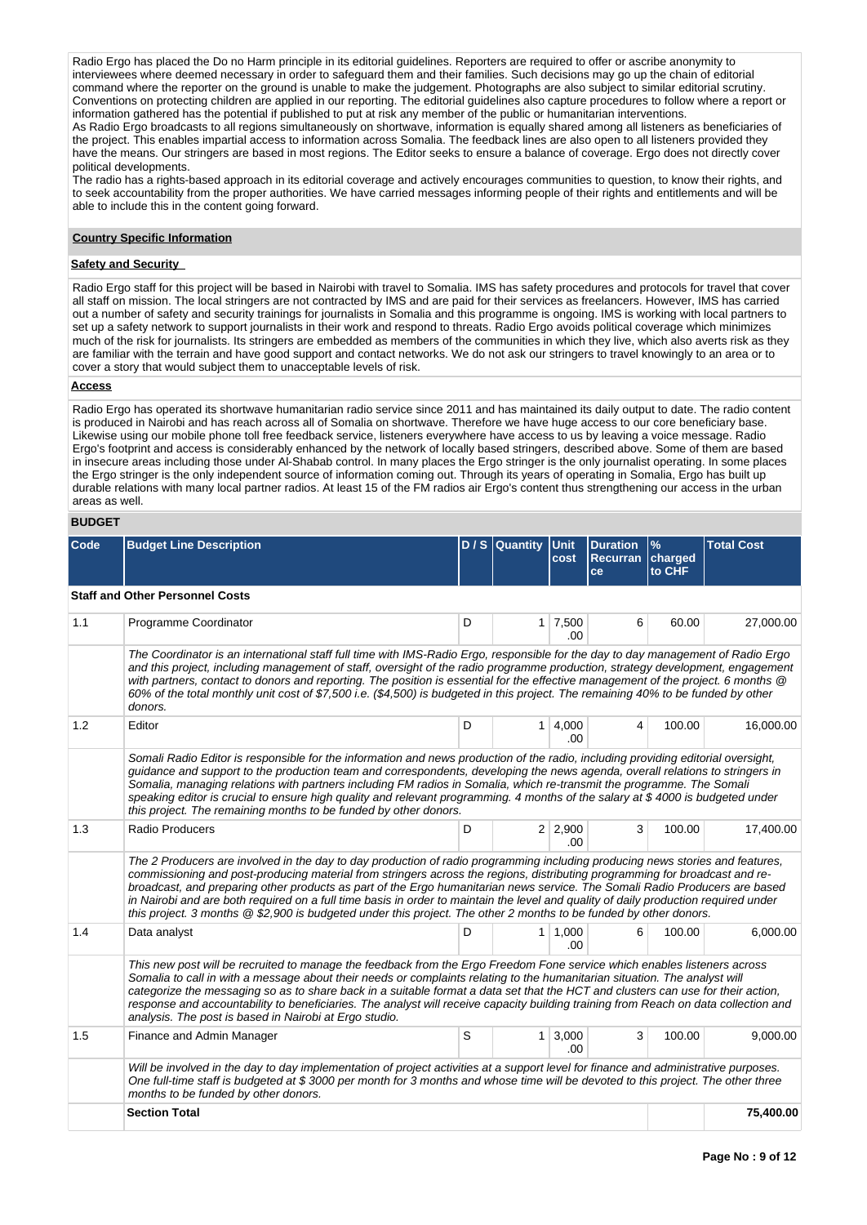Radio Ergo has placed the Do no Harm principle in its editorial guidelines. Reporters are required to offer or ascribe anonymity to interviewees where deemed necessary in order to safeguard them and their families. Such decisions may go up the chain of editorial command where the reporter on the ground is unable to make the judgement. Photographs are also subject to similar editorial scrutiny. Conventions on protecting children are applied in our reporting. The editorial guidelines also capture procedures to follow where a report or information gathered has the potential if published to put at risk any member of the public or humanitarian interventions. As Radio Ergo broadcasts to all regions simultaneously on shortwave, information is equally shared among all listeners as beneficiaries of the project. This enables impartial access to information across Somalia. The feedback lines are also open to all listeners provided they have the means. Our stringers are based in most regions. The Editor seeks to ensure a balance of coverage. Ergo does not directly cover political developments.

The radio has a rights-based approach in its editorial coverage and actively encourages communities to question, to know their rights, and to seek accountability from the proper authorities. We have carried messages informing people of their rights and entitlements and will be able to include this in the content going forward.

### **Country Specific Information**

### **Safety and Security**

Radio Ergo staff for this project will be based in Nairobi with travel to Somalia. IMS has safety procedures and protocols for travel that cover all staff on mission. The local stringers are not contracted by IMS and are paid for their services as freelancers. However, IMS has carried out a number of safety and security trainings for journalists in Somalia and this programme is ongoing. IMS is working with local partners to set up a safety network to support journalists in their work and respond to threats. Radio Ergo avoids political coverage which minimizes much of the risk for journalists. Its stringers are embedded as members of the communities in which they live, which also averts risk as they are familiar with the terrain and have good support and contact networks. We do not ask our stringers to travel knowingly to an area or to cover a story that would subject them to unacceptable levels of risk.

#### **Access**

Radio Ergo has operated its shortwave humanitarian radio service since 2011 and has maintained its daily output to date. The radio content is produced in Nairobi and has reach across all of Somalia on shortwave. Therefore we have huge access to our core beneficiary base. Likewise using our mobile phone toll free feedback service, listeners everywhere have access to us by leaving a voice message. Radio Ergo's footprint and access is considerably enhanced by the network of locally based stringers, described above. Some of them are based in insecure areas including those under Al-Shabab control. In many places the Ergo stringer is the only journalist operating. In some places the Ergo stringer is the only independent source of information coming out. Through its years of operating in Somalia, Ergo has built up durable relations with many local partner radios. At least 15 of the FM radios air Ergo's content thus strengthening our access in the urban areas as well.

# **BUDGET**

| Code | <b>Budget Line Description</b>                                                                                                                                                                                                                                                                                                                                                                                                                                                                                                                                                                                                                          |   | D / S Quantity Unit | cost                          | <b>Duration</b><br><b>Recurran</b><br>ce | $\frac{9}{6}$<br>charged<br>to CHF | <b>Total Cost</b> |
|------|---------------------------------------------------------------------------------------------------------------------------------------------------------------------------------------------------------------------------------------------------------------------------------------------------------------------------------------------------------------------------------------------------------------------------------------------------------------------------------------------------------------------------------------------------------------------------------------------------------------------------------------------------------|---|---------------------|-------------------------------|------------------------------------------|------------------------------------|-------------------|
|      | <b>Staff and Other Personnel Costs</b>                                                                                                                                                                                                                                                                                                                                                                                                                                                                                                                                                                                                                  |   |                     |                               |                                          |                                    |                   |
| 1.1  | Programme Coordinator                                                                                                                                                                                                                                                                                                                                                                                                                                                                                                                                                                                                                                   | D |                     | $1 \overline{7,500}$<br>.00   | 6                                        | 60.00                              | 27,000.00         |
|      | The Coordinator is an international staff full time with IMS-Radio Ergo, responsible for the day to day management of Radio Ergo<br>and this project, including management of staff, oversight of the radio programme production, strategy development, engagement<br>with partners, contact to donors and reporting. The position is essential for the effective management of the project. 6 months @<br>60% of the total monthly unit cost of \$7,500 i.e. (\$4,500) is budgeted in this project. The remaining 40% to be funded by other<br>donors.                                                                                                 |   |                     |                               |                                          |                                    |                   |
| 1.2  | Editor                                                                                                                                                                                                                                                                                                                                                                                                                                                                                                                                                                                                                                                  | D |                     | 1   4,000<br>.00              | 4                                        | 100.00                             | 16,000.00         |
|      | Somali Radio Editor is responsible for the information and news production of the radio, including providing editorial oversight,<br>guidance and support to the production team and correspondents, developing the news agenda, overall relations to stringers in<br>Somalia, managing relations with partners including FM radios in Somalia, which re-transmit the programme. The Somali<br>speaking editor is crucial to ensure high quality and relevant programming. 4 months of the salary at \$4000 is budgeted under<br>this project. The remaining months to be funded by other donors.                                                       |   |                     |                               |                                          |                                    |                   |
| 1.3  | Radio Producers                                                                                                                                                                                                                                                                                                                                                                                                                                                                                                                                                                                                                                         | D |                     | $2 \mid 2,900$<br>.00         | 3                                        | 100.00                             | 17,400.00         |
|      | The 2 Producers are involved in the day to day production of radio programming including producing news stories and features,<br>commissioning and post-producing material from stringers across the regions, distributing programming for broadcast and re-<br>broadcast, and preparing other products as part of the Ergo humanitarian news service. The Somali Radio Producers are based<br>in Nairobi and are both required on a full time basis in order to maintain the level and quality of daily production required under<br>this project. 3 months @ \$2,900 is budgeted under this project. The other 2 months to be funded by other donors. |   |                     |                               |                                          |                                    |                   |
| 1.4  | Data analyst                                                                                                                                                                                                                                                                                                                                                                                                                                                                                                                                                                                                                                            | D |                     | 1   1,000<br>.00.             | 6                                        | 100.00                             | 6,000.00          |
|      | This new post will be recruited to manage the feedback from the Ergo Freedom Fone service which enables listeners across<br>Somalia to call in with a message about their needs or complaints relating to the humanitarian situation. The analyst will<br>categorize the messaging so as to share back in a suitable format a data set that the HCT and clusters can use for their action,<br>response and accountability to beneficiaries. The analyst will receive capacity building training from Reach on data collection and<br>analysis. The post is based in Nairobi at Ergo studio.                                                             |   |                     |                               |                                          |                                    |                   |
| 1.5  | Finance and Admin Manager                                                                                                                                                                                                                                                                                                                                                                                                                                                                                                                                                                                                                               | S |                     | $1 \,   \, 3,000 \,  $<br>.00 | 3                                        | 100.00                             | 9,000.00          |
|      | Will be involved in the day to day implementation of project activities at a support level for finance and administrative purposes.<br>One full-time staff is budgeted at \$ 3000 per month for 3 months and whose time will be devoted to this project. The other three<br>months to be funded by other donors.                                                                                                                                                                                                                                                                                                                                        |   |                     |                               |                                          |                                    |                   |
|      | <b>Section Total</b>                                                                                                                                                                                                                                                                                                                                                                                                                                                                                                                                                                                                                                    |   |                     |                               |                                          |                                    | 75,400.00         |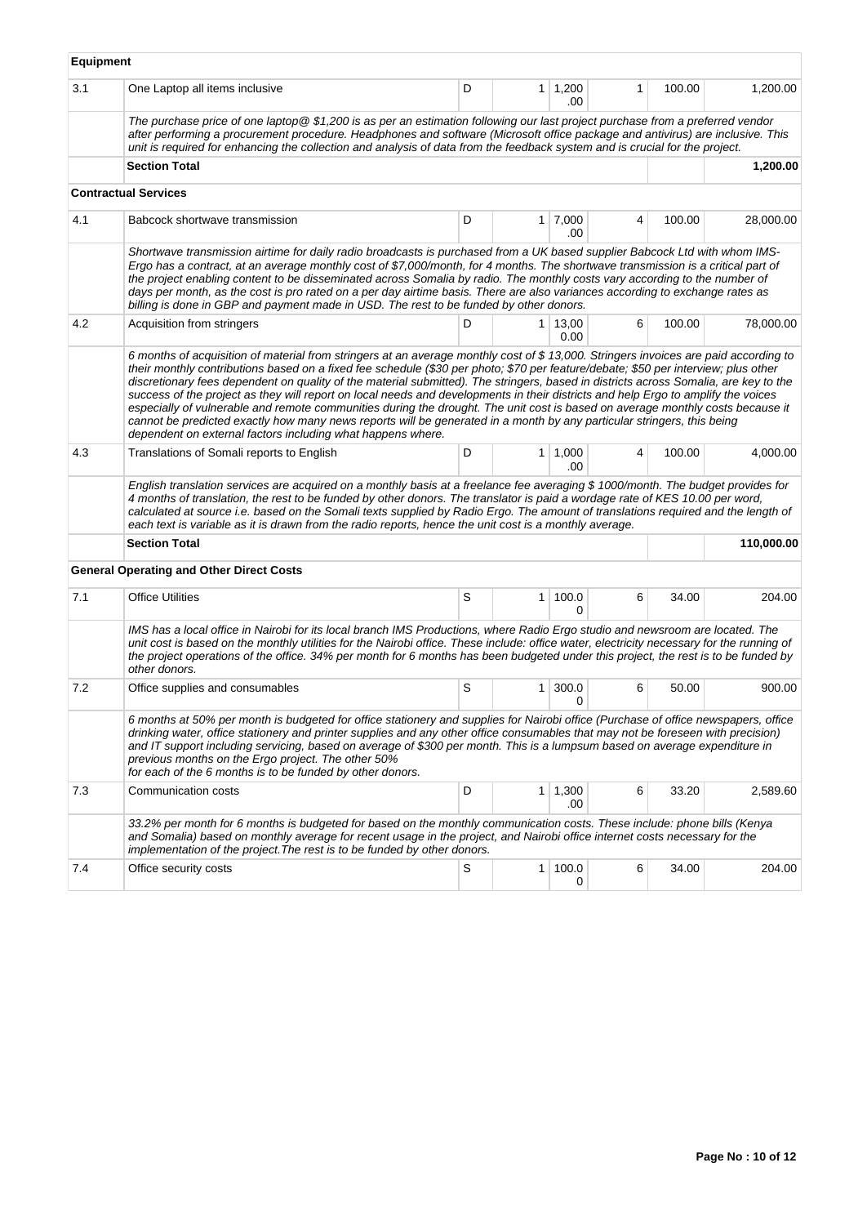|     |                                                                                                                                                                                                                                                                                                                                                                                                                                                                                                                                                                                                                                                                                                                                                                                                                                                                                   | D |                |                        |   | 100.00 |            |
|-----|-----------------------------------------------------------------------------------------------------------------------------------------------------------------------------------------------------------------------------------------------------------------------------------------------------------------------------------------------------------------------------------------------------------------------------------------------------------------------------------------------------------------------------------------------------------------------------------------------------------------------------------------------------------------------------------------------------------------------------------------------------------------------------------------------------------------------------------------------------------------------------------|---|----------------|------------------------|---|--------|------------|
| 3.1 | One Laptop all items inclusive                                                                                                                                                                                                                                                                                                                                                                                                                                                                                                                                                                                                                                                                                                                                                                                                                                                    |   |                | $1 \mid 1,200$<br>.00  | 1 |        | 1,200.00   |
|     | The purchase price of one laptop @ \$1,200 is as per an estimation following our last project purchase from a preferred vendor<br>after performing a procurement procedure. Headphones and software (Microsoft office package and antivirus) are inclusive. This<br>unit is required for enhancing the collection and analysis of data from the feedback system and is crucial for the project.                                                                                                                                                                                                                                                                                                                                                                                                                                                                                   |   |                |                        |   |        |            |
|     | <b>Section Total</b>                                                                                                                                                                                                                                                                                                                                                                                                                                                                                                                                                                                                                                                                                                                                                                                                                                                              |   |                |                        |   |        | 1,200.00   |
|     | <b>Contractual Services</b>                                                                                                                                                                                                                                                                                                                                                                                                                                                                                                                                                                                                                                                                                                                                                                                                                                                       |   |                |                        |   |        |            |
| 4.1 | Babcock shortwave transmission                                                                                                                                                                                                                                                                                                                                                                                                                                                                                                                                                                                                                                                                                                                                                                                                                                                    | D |                | $1 \mid 7,000$<br>.00  | 4 | 100.00 | 28,000.00  |
|     | Shortwave transmission airtime for daily radio broadcasts is purchased from a UK based supplier Babcock Ltd with whom IMS-<br>Ergo has a contract, at an average monthly cost of \$7,000/month, for 4 months. The shortwave transmission is a critical part of<br>the project enabling content to be disseminated across Somalia by radio. The monthly costs vary according to the number of<br>days per month, as the cost is pro rated on a per day airtime basis. There are also variances according to exchange rates as<br>billing is done in GBP and payment made in USD. The rest to be funded by other donors.                                                                                                                                                                                                                                                            |   |                |                        |   |        |            |
| 4.2 | Acquisition from stringers                                                                                                                                                                                                                                                                                                                                                                                                                                                                                                                                                                                                                                                                                                                                                                                                                                                        | D |                | $1 \mid 13,00$<br>0.00 | 6 | 100.00 | 78,000.00  |
|     | 6 months of acquisition of material from stringers at an average monthly cost of \$13,000. Stringers invoices are paid according to<br>their monthly contributions based on a fixed fee schedule (\$30 per photo; \$70 per feature/debate; \$50 per interview; plus other<br>discretionary fees dependent on quality of the material submitted). The stringers, based in districts across Somalia, are key to the<br>success of the project as they will report on local needs and developments in their districts and help Ergo to amplify the voices<br>especially of vulnerable and remote communities during the drought. The unit cost is based on average monthly costs because it<br>cannot be predicted exactly how many news reports will be generated in a month by any particular stringers, this being<br>dependent on external factors including what happens where. |   |                |                        |   |        |            |
| 4.3 | Translations of Somali reports to English                                                                                                                                                                                                                                                                                                                                                                                                                                                                                                                                                                                                                                                                                                                                                                                                                                         | D | 1 <sup>1</sup> | 1,000<br>.00.          | 4 | 100.00 | 4,000.00   |
|     | English translation services are acquired on a monthly basis at a freelance fee averaging \$1000/month. The budget provides for<br>4 months of translation, the rest to be funded by other donors. The translator is paid a wordage rate of KES 10.00 per word,<br>calculated at source i.e. based on the Somali texts supplied by Radio Ergo. The amount of translations required and the length of<br>each text is variable as it is drawn from the radio reports, hence the unit cost is a monthly average.                                                                                                                                                                                                                                                                                                                                                                    |   |                |                        |   |        |            |
|     | <b>Section Total</b>                                                                                                                                                                                                                                                                                                                                                                                                                                                                                                                                                                                                                                                                                                                                                                                                                                                              |   |                |                        |   |        | 110,000.00 |
|     | <b>General Operating and Other Direct Costs</b>                                                                                                                                                                                                                                                                                                                                                                                                                                                                                                                                                                                                                                                                                                                                                                                                                                   |   |                |                        |   |        |            |
| 7.1 | <b>Office Utilities</b>                                                                                                                                                                                                                                                                                                                                                                                                                                                                                                                                                                                                                                                                                                                                                                                                                                                           | S | 1 <sup>1</sup> | 100.0<br>0             | 6 | 34.00  | 204.00     |
|     | IMS has a local office in Nairobi for its local branch IMS Productions, where Radio Ergo studio and newsroom are located. The<br>unit cost is based on the monthly utilities for the Nairobi office. These include: office water, electricity necessary for the running of<br>the project operations of the office. 34% per month for 6 months has been budgeted under this project, the rest is to be funded by<br>other donors.                                                                                                                                                                                                                                                                                                                                                                                                                                                 |   |                |                        |   |        |            |
| 7.2 | Office supplies and consumables                                                                                                                                                                                                                                                                                                                                                                                                                                                                                                                                                                                                                                                                                                                                                                                                                                                   | S | 1              | 300.0<br>0             | 6 | 50.00  | 900.00     |
|     | 6 months at 50% per month is budgeted for office stationery and supplies for Nairobi office (Purchase of office newspapers, office<br>drinking water, office stationery and printer supplies and any other office consumables that may not be foreseen with precision)<br>and IT support including servicing, based on average of \$300 per month. This is a lumpsum based on average expenditure in<br>previous months on the Ergo project. The other 50%<br>for each of the 6 months is to be funded by other donors.                                                                                                                                                                                                                                                                                                                                                           |   |                |                        |   |        |            |
| 7.3 | Communication costs                                                                                                                                                                                                                                                                                                                                                                                                                                                                                                                                                                                                                                                                                                                                                                                                                                                               | D |                | $1 \mid 1,300$<br>.00  | 6 | 33.20  | 2,589.60   |
|     | 33.2% per month for 6 months is budgeted for based on the monthly communication costs. These include: phone bills (Kenya<br>and Somalia) based on monthly average for recent usage in the project, and Nairobi office internet costs necessary for the<br>implementation of the project. The rest is to be funded by other donors.                                                                                                                                                                                                                                                                                                                                                                                                                                                                                                                                                |   |                |                        |   |        |            |
| 7.4 | Office security costs                                                                                                                                                                                                                                                                                                                                                                                                                                                                                                                                                                                                                                                                                                                                                                                                                                                             | S | $\mathbf{1}$   | 100.0<br>0             | 6 | 34.00  | 204.00     |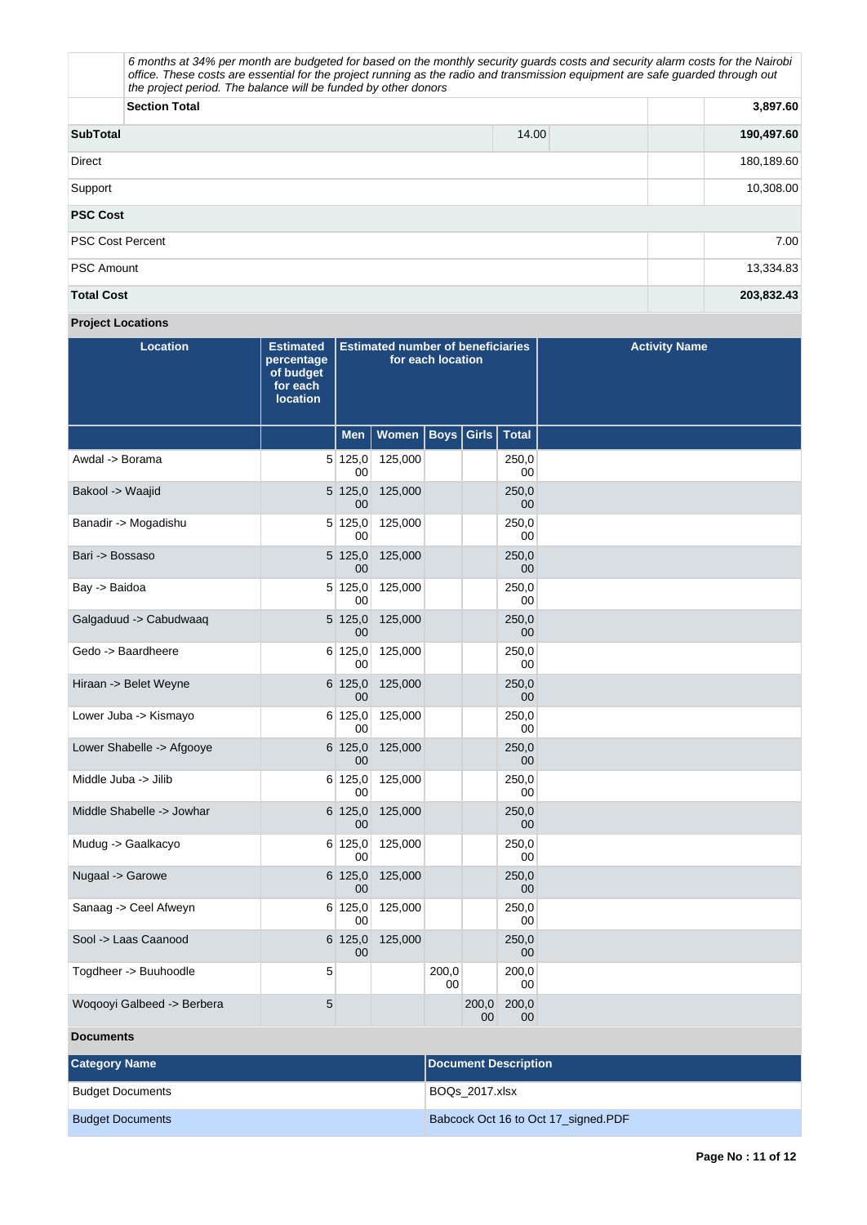| the project period. The balance will be funded by other donors | 6 months at 34% per month are budgeted for based on the monthly security quards costs and security alarm costs for the Nairobi<br>office. These costs are essential for the project running as the radio and transmission equipment are safe quarded through out |            |
|----------------------------------------------------------------|------------------------------------------------------------------------------------------------------------------------------------------------------------------------------------------------------------------------------------------------------------------|------------|
| <b>Section Total</b>                                           |                                                                                                                                                                                                                                                                  | 3,897.60   |
| <b>SubTotal</b>                                                | 14.00                                                                                                                                                                                                                                                            | 190,497.60 |
| Direct                                                         |                                                                                                                                                                                                                                                                  | 180,189.60 |
| Support                                                        |                                                                                                                                                                                                                                                                  | 10,308.00  |
| <b>PSC Cost</b>                                                |                                                                                                                                                                                                                                                                  |            |
| <b>PSC Cost Percent</b>                                        |                                                                                                                                                                                                                                                                  | 7.00       |
| <b>PSC Amount</b>                                              |                                                                                                                                                                                                                                                                  | 13,334.83  |
| <b>Total Cost</b>                                              |                                                                                                                                                                                                                                                                  | 203,832.43 |

# **Project Locations**

| <b>Location</b>            | <b>Estimated</b><br>percentage<br>of budget<br>for each<br><b>location</b> | <b>Estimated number of beneficiaries</b><br>for each location |         |             |             |              | <b>Activity Name</b> |
|----------------------------|----------------------------------------------------------------------------|---------------------------------------------------------------|---------|-------------|-------------|--------------|----------------------|
|                            |                                                                            | <b>Men</b>                                                    | Women   | <b>Boys</b> | Girls       | <b>Total</b> |                      |
| Awdal -> Borama            |                                                                            | 5 125,0 <br>$00 \,$                                           | 125,000 |             |             | 250,0<br>00  |                      |
| Bakool -> Waajid           |                                                                            | 5 125,0<br>$00\,$                                             | 125,000 |             |             | 250,0<br>00  |                      |
| Banadir -> Mogadishu       |                                                                            | 5 125,0 <br>00                                                | 125,000 |             |             | 250,0<br>00  |                      |
| Bari -> Bossaso            |                                                                            | 5 125,0<br>$00 \,$                                            | 125,000 |             |             | 250,0<br>00  |                      |
| Bay -> Baidoa              |                                                                            | 5 125,0 <br>00                                                | 125,000 |             |             | 250,0<br>00  |                      |
| Galgaduud -> Cabudwaaq     |                                                                            | 5 125,0<br>00                                                 | 125,000 |             |             | 250,0<br>00  |                      |
| Gedo -> Baardheere         |                                                                            | 6 125,0<br>00                                                 | 125,000 |             |             | 250.0<br>00  |                      |
| Hiraan -> Belet Weyne      |                                                                            | $6 \, 125,0$<br>00                                            | 125,000 |             |             | 250,0<br>00  |                      |
| Lower Juba -> Kismayo      |                                                                            | 6 125,0 <br>00                                                | 125,000 |             |             | 250,0<br>00  |                      |
| Lower Shabelle -> Afgooye  |                                                                            | 6 125,0<br>0 <sub>0</sub>                                     | 125,000 |             |             | 250,0<br>00  |                      |
| Middle Juba -> Jilib       |                                                                            | 6 125,0 <br>00                                                | 125,000 |             |             | 250,0<br>00  |                      |
| Middle Shabelle -> Jowhar  |                                                                            | 6 125,0<br>00                                                 | 125,000 |             |             | 250,0<br>00  |                      |
| Mudug -> Gaalkacyo         |                                                                            | 6 125,0 <br>00                                                | 125,000 |             |             | 250,0<br>00  |                      |
| Nugaal -> Garowe           |                                                                            | 6 125,0<br>00                                                 | 125,000 |             |             | 250,0<br>00  |                      |
| Sanaag -> Ceel Afweyn      |                                                                            | 6 125,0<br>00                                                 | 125,000 |             |             | 250,0<br>00  |                      |
| Sool -> Laas Caanood       |                                                                            | 6 125,0 <br>00                                                | 125,000 |             |             | 250,0<br>00  |                      |
| Togdheer -> Buuhoodle      | 5                                                                          |                                                               |         | 200,0<br>00 |             | 200,0<br>00  |                      |
| Woqooyi Galbeed -> Berbera | 5                                                                          |                                                               |         |             | 200,0<br>00 | 200,0<br>00  |                      |
| <b>Documents</b>           |                                                                            |                                                               |         |             |             |              |                      |

| <b>Category Name</b>    | Document Description                |
|-------------------------|-------------------------------------|
| <b>Budget Documents</b> | BOQs 2017.xlsx                      |
| <b>Budget Documents</b> | Babcock Oct 16 to Oct 17_signed.PDF |